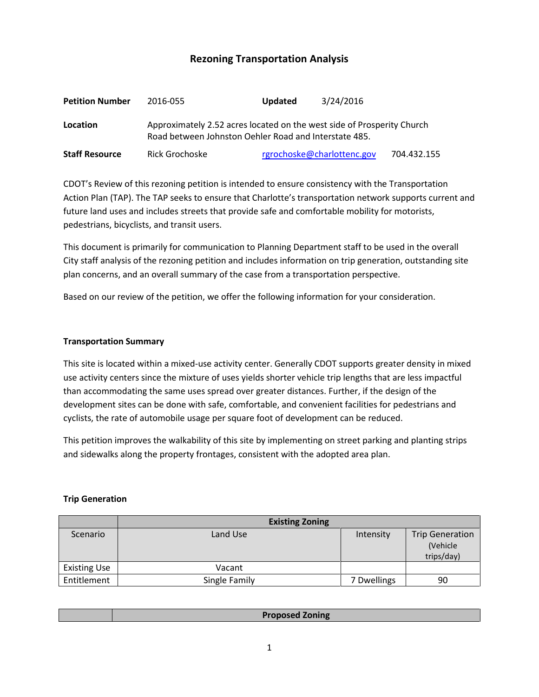# **Rezoning Transportation Analysis**

| <b>Petition Number</b> | 2016-055                                                                                                                        | <b>Updated</b> | 3/24/2016                  |             |  |
|------------------------|---------------------------------------------------------------------------------------------------------------------------------|----------------|----------------------------|-------------|--|
| Location               | Approximately 2.52 acres located on the west side of Prosperity Church<br>Road between Johnston Oehler Road and Interstate 485. |                |                            |             |  |
| <b>Staff Resource</b>  | Rick Grochoske                                                                                                                  |                | rgrochoske@charlottenc.gov | 704.432.155 |  |

CDOT's Review of this rezoning petition is intended to ensure consistency with the Transportation Action Plan (TAP). The TAP seeks to ensure that Charlotte's transportation network supports current and future land uses and includes streets that provide safe and comfortable mobility for motorists, pedestrians, bicyclists, and transit users.

This document is primarily for communication to Planning Department staff to be used in the overall City staff analysis of the rezoning petition and includes information on trip generation, outstanding site plan concerns, and an overall summary of the case from a transportation perspective.

Based on our review of the petition, we offer the following information for your consideration.

### **Transportation Summary**

This site is located within a mixed-use activity center. Generally CDOT supports greater density in mixed use activity centers since the mixture of uses yields shorter vehicle trip lengths that are less impactful than accommodating the same uses spread over greater distances. Further, if the design of the development sites can be done with safe, comfortable, and convenient facilities for pedestrians and cyclists, the rate of automobile usage per square foot of development can be reduced.

This petition improves the walkability of this site by implementing on street parking and planting strips and sidewalks along the property frontages, consistent with the adopted area plan.

### **Trip Generation**

|                     | <b>Existing Zoning</b> |             |                                                  |
|---------------------|------------------------|-------------|--------------------------------------------------|
| Scenario            | Land Use               | Intensity   | <b>Trip Generation</b><br>(Vehicle<br>trips/day) |
| <b>Existing Use</b> | Vacant                 |             |                                                  |
| Entitlement         | Single Family          | 7 Dwellings | 90                                               |

| <b>Proposed Zoning</b> |
|------------------------|
|------------------------|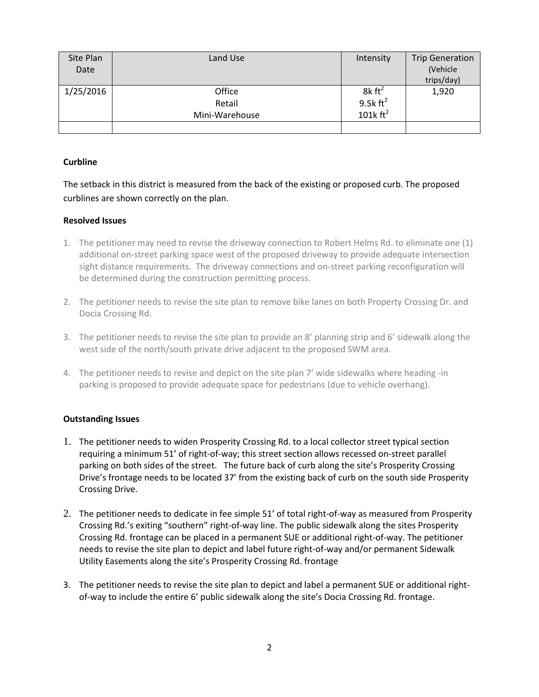| Site Plan | Land Use       | Intensity            | <b>Trip Generation</b> |
|-----------|----------------|----------------------|------------------------|
| Date      |                |                      | (Vehicle               |
|           |                |                      | trips/day)             |
| 1/25/2016 | Office         | $8k \text{ ft}^2$    | 1,920                  |
|           | Retail         | 9.5 $k \text{ ft}^2$ |                        |
|           | Mini-Warehouse | 101 $k \text{ ft}^2$ |                        |
|           |                |                      |                        |

## **Curbline**

The setback in this district is measured from the back of the existing or proposed curb. The proposed curblines are shown correctly on the plan.

## **Resolved Issues**

- 1. The petitioner may need to revise the driveway connection to Robert Helms Rd. to eliminate one (1) additional on-street parking space west of the proposed driveway to provide adequate intersection sight distance requirements. The driveway connections and on-street parking reconfiguration will be determined during the construction permitting process.
- 2. The petitioner needs to revise the site plan to remove bike lanes on both Property Crossing Dr. and Docia Crossing Rd.
- 3. The petitioner needs to revise the site plan to provide an 8' planning strip and 6' sidewalk along the west side of the north/south private drive adjacent to the proposed SWM area.
- 4. The petitioner needs to revise and depict on the site plan 7' wide sidewalks where heading -in parking is proposed to provide adequate space for pedestrians (due to vehicle overhang).

### **Outstanding Issues**

- 1. The petitioner needs to widen Prosperity Crossing Rd. to a local collector street typical section requiring a minimum 51' of right-of-way; this street section allows recessed on-street parallel parking on both sides of the street. The future back of curb along the site's Prosperity Crossing Drive's frontage needs to be located 37' from the existing back of curb on the south side Prosperity Crossing Drive.
- 2. The petitioner needs to dedicate in fee simple 51' of total right-of-way as measured from Prosperity Crossing Rd.'s exiting "southern" right-of-way line. The public sidewalk along the sites Prosperity Crossing Rd. frontage can be placed in a permanent SUE or additional right-of-way. The petitioner needs to revise the site plan to depict and label future right-of-way and/or permanent Sidewalk Utility Easements along the site's Prosperity Crossing Rd. frontage
- 3. The petitioner needs to revise the site plan to depict and label a permanent SUE or additional rightof-way to include the entire 6' public sidewalk along the site's Docia Crossing Rd. frontage.